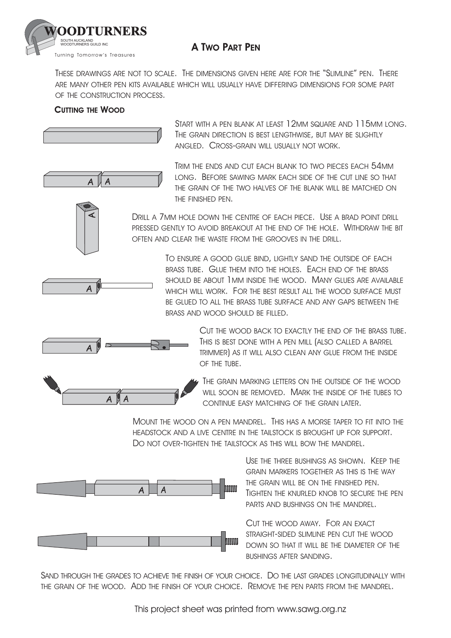

## **A TWO PART PEN**

THESE DRAWINGS ARE NOT TO SCALE. THE DIMENSIONS GIVEN HERE ARE FOR THE "SLIMLINE" PEN. THERE ARE MANY OTHER PEN KITS AVAILABLE WHICH WILL USUALLY HAVE DIFFERING DIMENSIONS FOR SOME PART OF THE CONSTRUCTION PROCESS.

## **CUTTING THE WOOD**

A

A

 $A \parallel A$ 



START WITH A PEN BLANK AT LEAST 12MM SQUARE AND 115MM LONG. THE GRAIN DIRECTION IS BEST LENGTHWISE, BUT MAY BE SLIGHTLY ANGLED. CROSS-GRAIN WILL USUALLY NOT WORK.

TRIM THE ENDS AND CUT EACH BLANK TO TWO PIECES EACH 54MM LONG. BEFORE SAWING MARK EACH SIDE OF THE CUT LINE SO THAT THE GRAIN OF THE TWO HALVES OF THE BLANK WILL BE MATCHED ON THE FINISHED PEN.

DRILL A 7MM HOLE DOWN THE CENTRE OF EACH PIECE. USE A BRAD POINT DRILL PRESSED GENTLY TO AVOID BREAKOUT AT THE FND OF THE HOLE. WITHDRAW THE BIT OFTEN AND CLEAR THE WASTE FROM THE GROOVES IN THE DRILL.

> TO ENSURE A GOOD GLUE BIND, LIGHTLY SAND THE OUTSIDE OF EACH BRASS TUBE. GLUE THEM INTO THE HOLES. EACH END OF THE BRASS SHOULD BE ABOUT I MM INSIDE THE WOOD. MANY GLUES ARE AVAILABLE WHICH WILL WORK. FOR THE BEST RESULT ALL THE WOOD SURFACE MUST BE GLUED TO ALL THE BRASS TUBE SURFACE AND ANY GAPS BETWEEN THE BRASS AND WOOD SHOULD BE FILLED.





CUT THE WOOD BACK TO EXACTLY THE END OF THE BRASS TUBE. THIS IS BEST DONE WITH A PEN MILL (ALSO CALLED A BARREL TRIMMER) AS IT WILL ALSO CLEAN ANY GLUE FROM THE INSIDE OF THE TUBE.

THE GRAIN MARKING LETTERS ON THE OUTSIDE OF THE WOOD WILL SOON BE REMOVED. MARK THE INSIDE OF THE TUBES TO CONTINUE EASY MATCHING OF THE GRAIN LATER.

MOUNT THE WOOD ON A PEN MANDREL. THIS HAS A MORSE TAPER TO FIT INTO THE HEADSTOCK AND A LIVE CENTRE IN THE TAILSTOCK IS BROUGHT UP FOR SUPPORT. DO NOT OVER-TIGHTEN THE TAILSTOCK AS THIS WILL BOW THE MANDREL.



USE THE THREE BUSHINGS AS SHOWN. KEEP THE GRAIN MARKERS TOGETHER AS THIS IS THE WAY THE GRAIN WILL BE ON THE FINISHED PEN. TIGHTEN THE KNURLED KNOB TO SECURE THE PEN PARTS AND BUSHINGS ON THE MANDREL.

CUT THE WOOD AWAY. FOR AN EXACT STRAIGHT-SIDED SLIMLINE PEN CUT THE WOOD DOWN SO THAT IT WILL BE THE DIAMETER OF THE BUSHINGS AFTER SANDING.

SAND THROUGH THE GRADES TO ACHIEVE THE FINISH OF YOUR CHOICE. DO THE LAST GRADES LONGITUDINALLY WITH THE GRAIN OF THE WOOD. ADD THE FINISH OF YOUR CHOICE. REMOVE THE PEN PARTS FROM THE MANDREL.

This project sheet was printed from www.sawg.org.nz